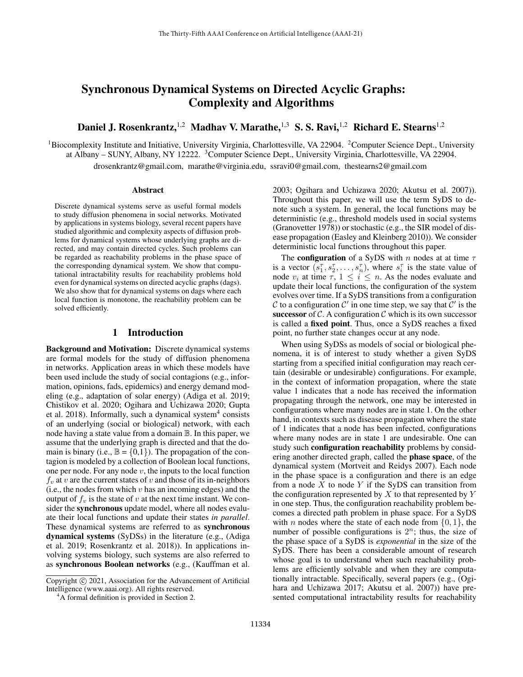# Synchronous Dynamical Systems on Directed Acyclic Graphs: Complexity and Algorithms

Daniel J. Rosenkrantz, <sup>1,2</sup> Madhav V. Marathe, <sup>1,3</sup> S. S. Ravi, <sup>1,2</sup> Richard E. Stearns<sup>1,2</sup>

<sup>1</sup>Biocomplexity Institute and Initiative, University Virginia, Charlottesville, VA 22904. <sup>2</sup>Computer Science Dept., University at Albany – SUNY, Albany, NY 12222. <sup>3</sup>Computer Science Dept., University Virginia, Charlottesville, VA 22904.

drosenkrantz@gmail.com, marathe@virginia.edu, ssravi0@gmail.com, thestearns2@gmail.com

#### **Abstract**

Discrete dynamical systems serve as useful formal models to study diffusion phenomena in social networks. Motivated by applications in systems biology, several recent papers have studied algorithmic and complexity aspects of diffusion problems for dynamical systems whose underlying graphs are directed, and may contain directed cycles. Such problems can be regarded as reachability problems in the phase space of the corresponding dynamical system. We show that computational intractability results for reachability problems hold even for dynamical systems on directed acyclic graphs (dags). We also show that for dynamical systems on dags where each local function is monotone, the reachability problem can be solved efficiently.

### 1 Introduction

Background and Motivation: Discrete dynamical systems are formal models for the study of diffusion phenomena in networks. Application areas in which these models have been used include the study of social contagions (e.g., information, opinions, fads, epidemics) and energy demand modeling (e.g., adaptation of solar energy) (Adiga et al. 2019; Chistikov et al. 2020; Ogihara and Uchizawa 2020; Gupta et al. 2018). Informally, such a dynamical system<sup>4</sup> consists of an underlying (social or biological) network, with each node having a state value from a domain B. In this paper, we assume that the underlying graph is directed and that the domain is binary (i.e.,  $\mathbb{B} = \{0,1\}$ ). The propagation of the contagion is modeled by a collection of Boolean local functions, one per node. For any node  $v$ , the inputs to the local function  $f<sub>v</sub>$  at v are the current states of v and those of its in-neighbors (i.e., the nodes from which  $v$  has an incoming edges) and the output of  $f_v$  is the state of v at the next time instant. We consider the synchronous update model, where all nodes evaluate their local functions and update their states *in parallel*. These dynamical systems are referred to as synchronous dynamical systems (SyDSs) in the literature (e.g., (Adiga et al. 2019; Rosenkrantz et al. 2018)). In applications involving systems biology, such systems are also referred to as synchronous Boolean networks (e.g., (Kauffman et al.

2003; Ogihara and Uchizawa 2020; Akutsu et al. 2007)). Throughout this paper, we will use the term SyDS to denote such a system. In general, the local functions may be deterministic (e.g., threshold models used in social systems (Granovetter 1978)) or stochastic (e.g., the SIR model of disease propagation (Easley and Kleinberg 2010)). We consider deterministic local functions throughout this paper.

The **configuration** of a SyDS with n nodes at at time  $\tau$ is a vector  $(s_1^{\tau}, s_2^{\tau}, \ldots, s_n^{\tau})$ , where  $s_i^{\tau}$  is the state value of node  $v_i$  at time  $\tau$ ,  $1 \leq i \leq n$ . As the nodes evaluate and update their local functions, the configuration of the system evolves over time. If a SyDS transitions from a configuration C to a configuration C' in one time step, we say that C' is the successor of  $\mathcal C$ . A configuration  $\mathcal C$  which is its own successor is called a fixed point. Thus, once a SyDS reaches a fixed point, no further state changes occur at any node.

When using SyDSs as models of social or biological phenomena, it is of interest to study whether a given SyDS starting from a specified initial configuration may reach certain (desirable or undesirable) configurations. For example, in the context of information propagation, where the state value 1 indicates that a node has received the information propagating through the network, one may be interested in configurations where many nodes are in state 1. On the other hand, in contexts such as disease propagation where the state of 1 indicates that a node has been infected, configurations where many nodes are in state 1 are undesirable. One can study such configuration reachability problems by considering another directed graph, called the phase space, of the dynamical system (Mortveit and Reidys 2007). Each node in the phase space is a configuration and there is an edge from a node  $X$  to node  $Y$  if the SyDS can transition from the configuration represented by  $X$  to that represented by  $Y$ in one step. Thus, the configuration reachability problem becomes a directed path problem in phase space. For a SyDS with *n* nodes where the state of each node from  $\{0, 1\}$ , the number of possible configurations is  $2^n$ ; thus, the size of the phase space of a SyDS is *exponential* in the size of the SyDS. There has been a considerable amount of research whose goal is to understand when such reachability problems are efficiently solvable and when they are computationally intractable. Specifically, several papers (e.g., (Ogihara and Uchizawa 2017; Akutsu et al. 2007)) have presented computational intractability results for reachability

Copyright (c) 2021, Association for the Advancement of Artificial Intelligence (www.aaai.org). All rights reserved.

<sup>&</sup>lt;sup>4</sup>A formal definition is provided in Section 2.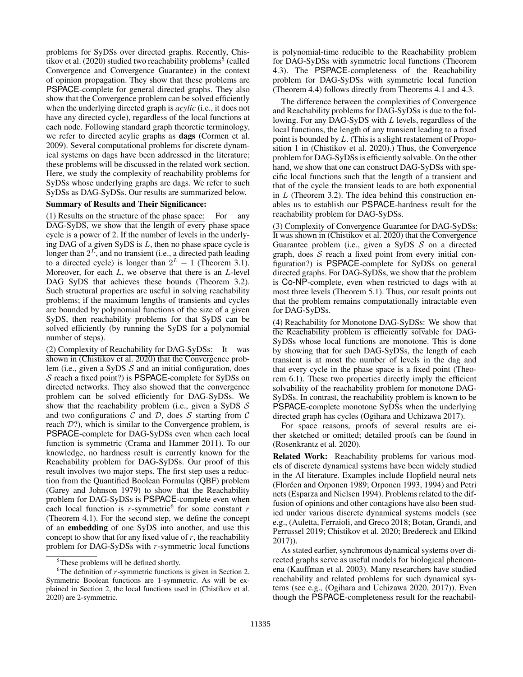problems for SyDSs over directed graphs. Recently, Chistikov et al. (2020) studied two reachability problems<sup>5</sup> (called Convergence and Convergence Guarantee) in the context of opinion propagation. They show that these problems are PSPACE-complete for general directed graphs. They also show that the Convergence problem can be solved efficiently when the underlying directed graph is *acylic* (i.e., it does not have any directed cycle), regardless of the local functions at each node. Following standard graph theoretic terminology, we refer to directed acylic graphs as dags (Cormen et al. 2009). Several computational problems for discrete dynamical systems on dags have been addressed in the literature; these problems will be discussed in the related work section. Here, we study the complexity of reachability problems for SyDSs whose underlying graphs are dags. We refer to such SyDSs as DAG-SyDSs. Our results are summarized below.

#### Summary of Results and Their Significance:

(1) Results on the structure of the phase space: For any DAG-SyDS, we show that the length of every phase space cycle is a power of 2. If the number of levels in the underlying DAG of a given SyDS is  $L$ , then no phase space cycle is longer than  $2^L$ , and no transient (i.e., a directed path leading to a directed cycle) is longer than  $2^L - 1$  (Theorem 3.1). Moreover, for each  $L$ , we observe that there is an  $L$ -level DAG SyDS that achieves these bounds (Theorem 3.2). Such structural properties are useful in solving reachability problems; if the maximum lengths of transients and cycles are bounded by polynomial functions of the size of a given SyDS, then reachability problems for that SyDS can be solved efficiently (by running the SyDS for a polynomial number of steps).

(2) Complexity of Reachability for DAG-SyDSs: It was shown in (Chistikov et al. 2020) that the Convergence problem (i.e., given a SyDS  $S$  and an initial configuration, does S reach a fixed point?) is PSPACE-complete for SyDSs on directed networks. They also showed that the convergence problem can be solved efficiently for DAG-SyDSs. We show that the reachability problem (i.e., given a SyDS  $\mathcal S$ and two configurations  $\mathcal C$  and  $\mathcal D$ , does  $\mathcal S$  starting from  $\mathcal C$ reach  $\mathcal{D}$ ?), which is similar to the Convergence problem, is PSPACE-complete for DAG-SyDSs even when each local function is symmetric (Crama and Hammer 2011). To our knowledge, no hardness result is currently known for the Reachability problem for DAG-SyDSs. Our proof of this result involves two major steps. The first step uses a reduction from the Quantified Boolean Formulas (QBF) problem (Garey and Johnson 1979) to show that the Reachability problem for DAG-SyDSs is PSPACE-complete even when each local function is  $r$ -symmetric<sup>6</sup> for some constant  $r$ (Theorem 4.1). For the second step, we define the concept of an embedding of one SyDS into another, and use this concept to show that for any fixed value of  $r$ , the reachability problem for DAG-SyDSs with r-symmetric local functions is polynomial-time reducible to the Reachability problem for DAG-SyDSs with symmetric local functions (Theorem 4.3). The PSPACE-completeness of the Reachability problem for DAG-SyDSs with symmetric local function (Theorem 4.4) follows directly from Theorems 4.1 and 4.3.

The difference between the complexities of Convergence and Reachability problems for DAG-SyDSs is due to the following. For any DAG-SyDS with L levels, regardless of the local functions, the length of any transient leading to a fixed point is bounded by L. (This is a slight restatement of Proposition 1 in (Chistikov et al. 2020).) Thus, the Convergence problem for DAG-SyDSs is efficiently solvable. On the other hand, we show that one can construct DAG-SyDSs with specific local functions such that the length of a transient and that of the cycle the transient leads to are both exponential in  $L$  (Theorem 3.2). The idea behind this construction enables us to establish our PSPACE-hardness result for the reachability problem for DAG-SyDSs.

(3) Complexity of Convergence Guarantee for DAG-SyDSs: It was shown in (Chistikov et al. 2020) that the Convergence Guarantee problem (i.e., given a SyDS  $S$  on a directed graph, does  $S$  reach a fixed point from every initial configuration?) is PSPACE-complete for SyDSs on general directed graphs. For DAG-SyDSs, we show that the problem is Co-NP-complete, even when restricted to dags with at most three levels (Theorem 5.1). Thus, our result points out that the problem remains computationally intractable even for DAG-SyDSs.

(4) Reachability for Monotone DAG-SyDSs: We show that the Reachability problem is efficiently solvable for DAG-SyDSs whose local functions are monotone. This is done by showing that for such DAG-SyDSs, the length of each transient is at most the number of levels in the dag and that every cycle in the phase space is a fixed point (Theorem 6.1). These two properties directly imply the efficient solvability of the reachability problem for monotone DAG-SyDSs. In contrast, the reachability problem is known to be PSPACE-complete monotone SyDSs when the underlying directed graph has cycles (Ogihara and Uchizawa 2017).

For space reasons, proofs of several results are either sketched or omitted; detailed proofs can be found in (Rosenkrantz et al. 2020).

Related Work: Reachability problems for various models of discrete dynamical systems have been widely studied in the AI literature. Examples include Hopfield neural nets (Floréen and Orponen 1989; Orponen 1993, 1994) and Petri nets (Esparza and Nielsen 1994). Problems related to the diffusion of opinions and other contagions have also been studied under various discrete dynamical systems models (see e.g., (Auletta, Ferraioli, and Greco 2018; Botan, Grandi, and Perrussel 2019; Chistikov et al. 2020; Bredereck and Elkind 2017)).

As stated earlier, synchronous dynamical systems over directed graphs serve as useful models for biological phenomena (Kauffman et al. 2003). Many researchers have studied reachability and related problems for such dynamical systems (see e.g., (Ogihara and Uchizawa 2020, 2017)). Even though the PSPACE-completeness result for the reachabil-

<sup>5</sup>These problems will be defined shortly.

<sup>&</sup>lt;sup>6</sup>The definition of  $r$ -symmetric functions is given in Section 2. Symmetric Boolean functions are 1-symmetric. As will be explained in Section 2, the local functions used in (Chistikov et al. 2020) are 2-symmetric.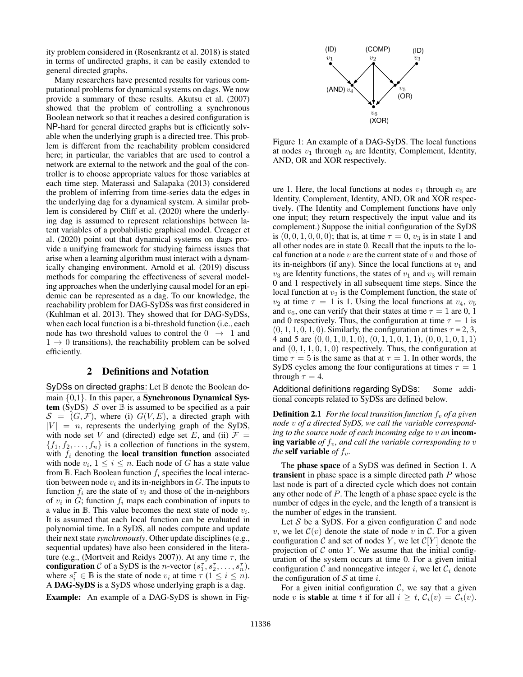ity problem considered in (Rosenkrantz et al. 2018) is stated in terms of undirected graphs, it can be easily extended to general directed graphs.

Many researchers have presented results for various computational problems for dynamical systems on dags. We now provide a summary of these results. Akutsu et al. (2007) showed that the problem of controlling a synchronous Boolean network so that it reaches a desired configuration is NP-hard for general directed graphs but is efficiently solvable when the underlying graph is a directed tree. This problem is different from the reachability problem considered here; in particular, the variables that are used to control a network are external to the network and the goal of the controller is to choose appropriate values for those variables at each time step. Materassi and Salapaka (2013) considered the problem of inferring from time-series data the edges in the underlying dag for a dynamical system. A similar problem is considered by Cliff et al. (2020) where the underlying dag is assumed to represent relationships between latent variables of a probabilistic graphical model. Creager et al. (2020) point out that dynamical systems on dags provide a unifying framework for studying fairness issues that arise when a learning algorithm must interact with a dynamically changing environment. Arnold et al. (2019) discuss methods for comparing the effectiveness of several modeling approaches when the underlying causal model for an epidemic can be represented as a dag. To our knowledge, the reachability problem for DAG-SyDSs was first considered in (Kuhlman et al. 2013). They showed that for DAG-SyDSs, when each local function is a bi-threshold function (i.e., each node has two threshold values to control the  $0 \rightarrow 1$  and  $1 \rightarrow 0$  transitions), the reachability problem can be solved efficiently.

# 2 Definitions and Notation

SyDSs on directed graphs: Let  $\mathbb B$  denote the Boolean domain  $\{0,1\}$ . In this paper, a **Synchronous Dynamical Sys**tem (SyDS)  $S$  over  $\mathbb B$  is assumed to be specified as a pair  $S = (G, \mathcal{F})$ , where (i)  $G(V, E)$ , a directed graph with  $|V| = n$ , represents the underlying graph of the SyDS, with node set V and (directed) edge set E, and (ii)  $\mathcal{F} =$  ${f_1, f_2, \ldots, f_n}$  is a collection of functions in the system, with  $f_i$  denoting the local transition function associated with node  $v_i$ ,  $1 \leq i \leq n$ . Each node of G has a state value from  $\mathbb B$ . Each Boolean function  $f_i$  specifies the local interaction between node  $v_i$  and its in-neighbors in G. The inputs to function  $f_i$  are the state of  $v_i$  and those of the in-neighbors of  $v_i$  in  $G$ ; function  $f_i$  maps each combination of inputs to a value in  $\mathbb B$ . This value becomes the next state of node  $v_i$ . It is assumed that each local function can be evaluated in polynomial time. In a SyDS, all nodes compute and update their next state *synchronously*. Other update disciplines (e.g., sequential updates) have also been considered in the literature (e.g., (Mortveit and Reidys 2007)). At any time  $\tau$ , the configuration C of a SyDS is the *n*-vector  $(s_1^{\tau}, s_2^{\tau}, \ldots, s_n^{\tau})$ , where  $s_i^{\tau} \in \mathbb{B}$  is the state of node  $v_i$  at time  $\tau$  ( $1 \leq i \leq n$ ). A DAG-SyDS is a SyDS whose underlying graph is a dag.

Example: An example of a DAG-SyDS is shown in Fig-



Figure 1: An example of a DAG-SyDS. The local functions at nodes  $v_1$  through  $v_6$  are Identity, Complement, Identity, AND, OR and XOR respectively.

ure 1. Here, the local functions at nodes  $v_1$  through  $v_6$  are Identity, Complement, Identity, AND, OR and XOR respectively. (The Identity and Complement functions have only one input; they return respectively the input value and its complement.) Suppose the initial configuration of the SyDS is  $(0, 0, 1, 0, 0, 0)$ ; that is, at time  $\tau = 0$ ,  $v_3$  is in state 1 and all other nodes are in state 0. Recall that the inputs to the local function at a node  $v$  are the current state of  $v$  and those of its in-neighbors (if any). Since the local functions at  $v_1$  and  $v_3$  are Identity functions, the states of  $v_1$  and  $v_3$  will remain 0 and 1 respectively in all subsequent time steps. Since the local function at  $v_2$  is the Complement function, the state of  $v_2$  at time  $\tau = 1$  is 1. Using the local functions at  $v_4$ ,  $v_5$ and  $v_6$ , one can verify that their states at time  $\tau = 1$  are 0, 1 and 0 respectively. Thus, the configuration at time  $\tau = 1$  is  $(0, 1, 1, 0, 1, 0)$ . Similarly, the configuration at times  $\tau = 2, 3$ , 4 and 5 are  $(0, 0, 1, 0, 1, 0), (0, 1, 1, 0, 1, 1), (0, 0, 1, 0, 1, 1)$ and  $(0, 1, 1, 0, 1, 0)$  respectively. Thus, the configuration at time  $\tau = 5$  is the same as that at  $\tau = 1$ . In other words, the SyDS cycles among the four configurations at times  $\tau = 1$ through  $\tau = 4$ .

Additional definitions regarding SyDSs: Some additional concepts related to SyDSs are defined below.

**Definition 2.1** *For the local transition function*  $f_v$  *of a given node* v *of a directed SyDS, we call the variable corresponding to the source node of each incoming edge to* v *an* incoming variable *of*  $f_v$ , and call the variable corresponding to  $v$ *the* **self** variable *of*  $f_v$ .

The phase space of a SyDS was defined in Section 1. A transient in phase space is a simple directed path P whose last node is part of a directed cycle which does not contain any other node of P. The length of a phase space cycle is the number of edges in the cycle, and the length of a transient is the number of edges in the transient.

Let  $S$  be a SyDS. For a given configuration  $C$  and node v, we let  $\mathcal{C}(v)$  denote the state of node v in C. For a given configuration C and set of nodes Y, we let  $\mathcal{C}[Y]$  denote the projection of  $C$  onto  $Y$ . We assume that the initial configuration of the system occurs at time 0. For a given initial configuration  $C$  and nonnegative integer i, we let  $C_i$  denote the configuration of  $S$  at time *i*.

For a given initial configuration  $C$ , we say that a given node v is **stable** at time t if for all  $i \geq t$ ,  $C_i(v) = C_t(v)$ .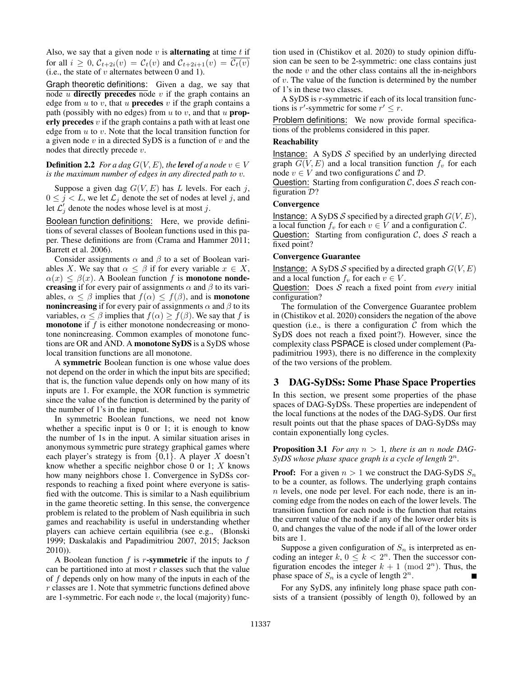Also, we say that a given node  $v$  is **alternating** at time  $t$  if for all  $i \geq 0$ ,  $C_{t+2i}(v) = C_t(v)$  and  $C_{t+2i+1}(v) = \overline{C_t(v)}$ (i.e., the state of  $v$  alternates between 0 and 1).

Graph theoretic definitions: Given a dag, we say that node  $u$  directly precedes node  $v$  if the graph contains an edge from  $u$  to  $v$ , that  $u$  **precedes**  $v$  if the graph contains a path (possibly with no edges) from  $u$  to  $v$ , and that  $u$  **prop**erly precedes  $v$  if the graph contains a path with at least one edge from  $u$  to  $v$ . Note that the local transition function for a given node  $v$  in a directed SyDS is a function of  $v$  and the nodes that directly precede v.

### **Definition 2.2** *For a dag*  $G(V, E)$ *, the level of a node*  $v \in V$ *is the maximum number of edges in any directed path to* v*.*

Suppose a given dag  $G(V, E)$  has L levels. For each j,  $0 \leq j < L$ , we let  $\mathcal{L}_j$  denote the set of nodes at level j, and let  $\mathcal{L}'_j$  denote the nodes whose level is at most j.

Boolean function definitions: Here, we provide definitions of several classes of Boolean functions used in this paper. These definitions are from (Crama and Hammer 2011; Barrett et al. 2006).

Consider assignments  $\alpha$  and  $\beta$  to a set of Boolean variables X. We say that  $\alpha \leq \beta$  if for every variable  $x \in X$ ,  $\alpha(x) \leq \beta(x)$ . A Boolean function f is **monotone nonde**creasing if for every pair of assignments  $\alpha$  and  $\beta$  to its variables,  $\alpha \leq \beta$  implies that  $f(\alpha) \leq f(\beta)$ , and is **monotone** nonincreasing if for every pair of assignments  $\alpha$  and  $\beta$  to its variables,  $\alpha \leq \beta$  implies that  $f(\alpha) \geq f(\beta)$ . We say that f is **monotone** if  $f$  is either monotone nondecreasing or monotone nonincreasing. Common examples of monotone functions are OR and AND. A monotone SyDS is a SyDS whose local transition functions are all monotone.

A symmetric Boolean function is one whose value does not depend on the order in which the input bits are specified; that is, the function value depends only on how many of its inputs are 1. For example, the XOR function is symmetric since the value of the function is determined by the parity of the number of 1's in the input.

In symmetric Boolean functions, we need not know whether a specific input is  $0$  or  $1$ ; it is enough to know the number of 1s in the input. A similar situation arises in anonymous symmetric pure strategy graphical games where each player's strategy is from  $\{0,1\}$ . A player X doesn't know whether a specific neighbor chose 0 or 1;  $X$  knows how many neighbors chose 1. Convergence in SyDSs corresponds to reaching a fixed point where everyone is satisfied with the outcome. This is similar to a Nash equilibrium in the game theoretic setting. In this sense, the convergence problem is related to the problem of Nash equilibria in such games and reachability is useful in understanding whether players can achieve certain equilibria (see e.g., (Blonski 1999; Daskalakis and Papadimitriou 2007, 2015; Jackson 2010)).

A Boolean function  $f$  is  $r$ -symmetric if the inputs to  $f$ can be partitioned into at most  $r$  classes such that the value of  $f$  depends only on how many of the inputs in each of the r classes are 1. Note that symmetric functions defined above are 1-symmetric. For each node  $v$ , the local (majority) function used in (Chistikov et al. 2020) to study opinion diffusion can be seen to be 2-symmetric: one class contains just the node  $v$  and the other class contains all the in-neighbors of v. The value of the function is determined by the number of 1's in these two classes.

A SyDS is r-symmetric if each of its local transition functions is r'-symmetric for some  $r' \leq r$ .

Problem definitions: We now provide formal specifications of the problems considered in this paper.

#### Reachability

Instance: A SyDS  $S$  specified by an underlying directed graph  $G(V, E)$  and a local transition function  $f_v$  for each node  $v \in V$  and two configurations C and D.

Question: Starting from configuration  $\mathcal{C}$ , does  $\mathcal{S}$  reach configuration D?

#### **Convergence**

Instance: A SyDS S specified by a directed graph  $G(V, E)$ , a local function  $f_v$  for each  $v \in V$  and a configuration  $\mathcal{C}$ . Question: Starting from configuration  $C$ , does  $S$  reach a fixed point?

#### Convergence Guarantee

Instance: A SyDS S specified by a directed graph  $G(V, E)$ and a local function  $f_v$  for each  $v \in V$ .

Question: Does S reach a fixed point from *every* initial configuration?

The formulation of the Convergence Guarantee problem in (Chistikov et al. 2020) considers the negation of the above question (i.e., is there a configuration  $C$  from which the SyDS does not reach a fixed point?). However, since the complexity class PSPACE is closed under complement (Papadimitriou 1993), there is no difference in the complexity of the two versions of the problem.

### 3 DAG-SyDSs: Some Phase Space Properties

In this section, we present some properties of the phase spaces of DAG-SyDSs. These properties are independent of the local functions at the nodes of the DAG-SyDS. Our first result points out that the phase spaces of DAG-SyDSs may contain exponentially long cycles.

**Proposition 3.1** *For any*  $n > 1$ *, there is an n node DAG-* $Sy\overline{D}S$  whose phase space graph is a cycle of length  $2^n$ .

**Proof:** For a given  $n > 1$  we construct the DAG-SyDS  $S_n$ to be a counter, as follows. The underlying graph contains n levels, one node per level. For each node, there is an incoming edge from the nodes on each of the lower levels. The transition function for each node is the function that retains the current value of the node if any of the lower order bits is 0, and changes the value of the node if all of the lower order bits are 1.

Suppose a given configuration of  $S_n$  is interpreted as encoding an integer  $k, 0 \leq k < 2<sup>n</sup>$ . Then the successor configuration encodes the integer  $k + 1 \pmod{2^n}$ . Thus, the phase space of  $S_n$  is a cycle of length  $2^n$ .

For any SyDS, any infinitely long phase space path consists of a transient (possibly of length 0), followed by an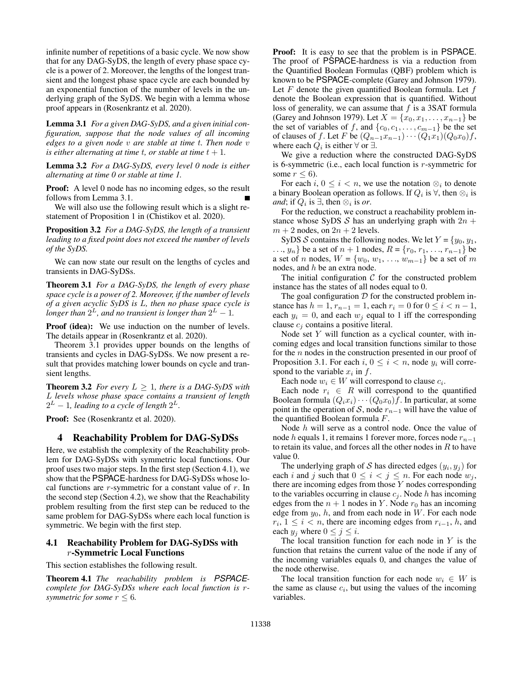infinite number of repetitions of a basic cycle. We now show that for any DAG-SyDS, the length of every phase space cycle is a power of 2. Moreover, the lengths of the longest transient and the longest phase space cycle are each bounded by an exponential function of the number of levels in the underlying graph of the SyDS. We begin with a lemma whose proof appears in (Rosenkrantz et al. 2020).

Lemma 3.1 *For a given DAG-SyDS, and a given initial configuration, suppose that the node values of all incoming edges to a given node* v *are stable at time* t*. Then node* v *is either alternating at time t, or stable at time*  $t + 1$ *.* 

Lemma 3.2 *For a DAG-SyDS, every level 0 node is either alternating at time 0 or stable at time 1.*

Proof: A level 0 node has no incoming edges, so the result follows from Lemma 3.1.

We will also use the following result which is a slight restatement of Proposition 1 in (Chistikov et al. 2020).

Proposition 3.2 *For a DAG-SyDS, the length of a transient leading to a fixed point does not exceed the number of levels of the SyDS.*

We can now state our result on the lengths of cycles and transients in DAG-SyDSs.

Theorem 3.1 *For a DAG-SyDS, the length of every phase space cycle is a power of 2. Moreover, if the number of levels of a given acyclic SyDS is* L*, then no phase space cycle is* longer than  $2^L$ , and no transient is longer than  $2^L - 1$ .

Proof (idea): We use induction on the number of levels. The details appear in (Rosenkrantz et al. 2020).

Theorem 3.1 provides upper bounds on the lengths of transients and cycles in DAG-SyDSs. We now present a result that provides matching lower bounds on cycle and transient lengths.

**Theorem 3.2** *For every*  $L \geq 1$ *, there is a DAG-SyDS with* L *levels whose phase space contains a transient of length*  $2^L - 1$ , leading to a cycle of length  $2^L$ .

Proof: See (Rosenkrantz et al. 2020).

### 4 Reachability Problem for DAG-SyDSs

Here, we establish the complexity of the Reachability problem for DAG-SyDSs with symmetric local functions. Our proof uses two major steps. In the first step (Section 4.1), we show that the PSPACE-hardness for DAG-SyDSs whose local functions are  $r$ -symmetric for a constant value of  $r$ . In the second step (Section 4.2), we show that the Reachability problem resulting from the first step can be reduced to the same problem for DAG-SyDSs where each local function is symmetric. We begin with the first step.

### 4.1 Reachability Problem for DAG-SyDSs with r-Symmetric Local Functions

This section establishes the following result.

Theorem 4.1 *The reachability problem is PSPACEcomplete for DAG-SyDSs where each local function is* r*symmetric for some*  $r \leq 6$ *.* 

Proof: It is easy to see that the problem is in PSPACE. The proof of PSPACE-hardness is via a reduction from the Quantified Boolean Formulas (QBF) problem which is known to be PSPACE-complete (Garey and Johnson 1979). Let  $F$  denote the given quantified Boolean formula. Let  $f$ denote the Boolean expression that is quantified. Without loss of generality, we can assume that  $f$  is a 3SAT formula (Garey and Johnson 1979). Let  $X = \{x_0, x_1, \ldots, x_{n-1}\}\)$ the set of variables of f, and  $\{c_0, c_1, \ldots, c_{m-1}\}$  be the set of clauses of f. Let F be  $(Q_{n-1}x_{n-1})\cdots (Q_1x_1)(Q_0x_0)f$ , where each  $Q_i$  is either  $\forall$  or  $\exists$ .

We give a reduction where the constructed DAG-SyDS is 6-symmetric (i.e., each local function is  $r$ -symmetric for some  $r \leq 6$ ).

For each  $i, 0 \leq i < n$ , we use the notation  $\otimes_i$  to denote a binary Boolean operation as follows. If  $Q_i$  is  $\forall$ , then  $\otimes_i$  is *and*; if  $Q_i$  is  $\exists$ , then  $\otimes_i$  is *or*.

For the reduction, we construct a reachability problem instance whose SyDS S has an underlying graph with  $2n +$  $m + 2$  nodes, on  $2n + 2$  levels.

SyDS S contains the following nodes. We let  $Y = \{y_0, y_1,$  $..., y_n$  be a set of  $n + 1$  nodes,  $R = \{r_0, r_1, ..., r_{n-1}\}$  be a set of *n* nodes,  $W = \{w_0, w_1, ..., w_{m-1}\}$  be a set of *m* nodes, and h be an extra node.

The initial configuration  $C$  for the constructed problem instance has the states of all nodes equal to 0.

The goal configuration  $D$  for the constructed problem instance has  $h = 1$ ,  $r_{n-1} = 1$ , each  $r_i = 0$  for  $0 \le i < n - 1$ , each  $y_i = 0$ , and each  $w_i$  equal to 1 iff the corresponding clause  $c_i$  contains a positive literal.

Node set  $Y$  will function as a cyclical counter, with incoming edges and local transition functions similar to those for the  $n$  nodes in the construction presented in our proof of Proposition 3.1. For each  $i, 0 \le i < n$ , node  $y_i$  will correspond to the variable  $x_i$  in f.

Each node  $w_i \in W$  will correspond to clause  $c_i$ .

Each node  $r_i \in R$  will correspond to the quantified Boolean formula  $(Q_ix_i)\cdots(Q_0x_0)f$ . In particular, at some point in the operation of S, node  $r_{n-1}$  will have the value of the quantified Boolean formula F.

Node h will serve as a control node. Once the value of node h equals 1, it remains 1 forever more, forces node  $r_{n-1}$ to retain its value, and forces all the other nodes in  $R$  to have value 0.

The underlying graph of S has directed edges  $(y_i, y_j)$  for each i and j such that  $0 \le i < j \le n$ . For each node  $w_i$ , there are incoming edges from those Y nodes corresponding to the variables occurring in clause  $c_j$ . Node h has incoming edges from the  $n + 1$  nodes in Y. Node  $r_0$  has an incoming edge from  $y_0$ , h, and from each node in W. For each node  $r_i, 1 \leq i < n$ , there are incoming edges from  $r_{i-1}, h$ , and each  $y_j$  where  $0 \le j \le i$ .

The local transition function for each node in  $Y$  is the function that retains the current value of the node if any of the incoming variables equals 0, and changes the value of the node otherwise.

The local transition function for each node  $w_i \in W$  is the same as clause  $c_i$ , but using the values of the incoming variables.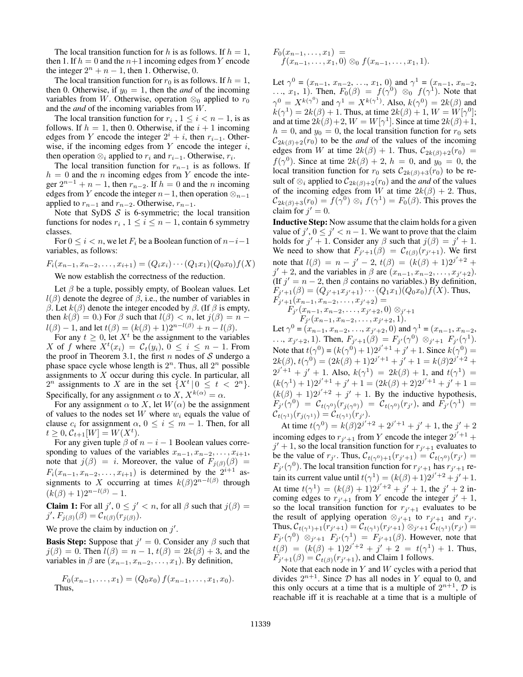The local transition function for h is as follows. If  $h = 1$ , then 1. If  $h = 0$  and the  $n+1$  incoming edges from Y encode the integer  $2^n + n - 1$ , then 1. Otherwise, 0.

The local transition function for  $r_0$  is as follows. If  $h = 1$ , then 0. Otherwise, if  $y_0 = 1$ , then the *and* of the incoming variables from W. Otherwise, operation  $\otimes_0$  applied to  $r_0$ and the *and* of the incoming variables from W.

The local transition function for  $r_i$ ,  $1 \le i < n-1$ , is as follows. If  $h = 1$ , then 0. Otherwise, if the  $i + 1$  incoming edges from Y encode the integer  $2^i + i$ , then  $r_{i-1}$ . Otherwise, if the incoming edges from  $Y$  encode the integer  $i$ , then operation  $\otimes_i$  applied to  $r_i$  and  $r_{i-1}$ . Otherwise,  $r_i$ .

The local transition function for  $r_{n-1}$  is as follows. If  $h = 0$  and the *n* incoming edges from Y encode the integer  $2^{n-1} + n - 1$ , then  $r_{n-2}$ . If  $h = 0$  and the *n* incoming edges from Y encode the integer  $n-1$ , then operation  $\otimes_{n-1}$ applied to  $r_{n-1}$  and  $r_{n-2}$ . Otherwise,  $r_{n-1}$ .

Note that SyDS  $S$  is 6-symmetric; the local transition functions for nodes  $r_i$ ,  $1 \le i \le n-1$ , contain 6 symmetry classes.

For  $0 \le i \le n$ , we let  $F_i$  be a Boolean function of  $n-i-1$ variables, as follows:

$$
F_i(x_{n-1}, x_{n-2}, \dots, x_{i+1}) = (Q_i x_i) \cdots (Q_1 x_1)(Q_0 x_0) f(X)
$$

We now establish the correctness of the reduction.

Let  $\beta$  be a tuple, possibly empty, of Boolean values. Let  $l(\beta)$  denote the degree of  $\beta$ , i.e., the number of variables in β. Let  $k(β)$  denote the integer encoded by  $β$ . (If  $β$  is empty, then  $k(\beta) = 0$ .) For  $\beta$  such that  $l(\beta) < n$ , let  $j(\beta) = n$  $l(\beta) - 1$ , and let  $t(\beta) = (k(\beta) + 1)2^{n-l(\beta)} + n - l(\beta)$ .

For any  $t \geq 0$ , let  $X<sup>t</sup>$  be the assignment to the variables X of f where  $X^t(x_i) = C_t(y_i), 0 \leq i \leq n-1$ . From the proof in Theorem 3.1, the first n nodes of  $S$  undergo a phase space cycle whose length is  $2^n$ . Thus, all  $2^n$  possible assignments to  $X$  occur during this cycle. In particular, all  $2^n$  assignments to X are in the set  $\{X^t | 0 \le t < 2^n\}.$ Specifically, for any assignment  $\alpha$  to  $X, X^{k(\alpha)} = \alpha$ .

For any assignment  $\alpha$  to X, let  $W(\alpha)$  be the assignment of values to the nodes set  $W$  where  $w_i$  equals the value of clause  $c_i$  for assignment  $\alpha$ ,  $0 \le i \le m - 1$ . Then, for all  $t \geq 0, C_{t+1}[W] = W(X^t).$ 

For any given tuple  $\beta$  of  $n - i - 1$  Boolean values corresponding to values of the variables  $x_{n-1}, x_{n-2}, \ldots, x_{i+1}$ , note that  $j(\beta) = i$ . Moreover, the value of  $F_{i(\beta)}(\beta) =$  $F_i(x_{n-1}, x_{n-2}, \ldots, x_{i+1})$  is determined by the  $2^{i+1}$  assignments to X occurring at times  $k(\beta)2^{n-l(\beta)}$  through  $(k(\beta) + 1)2^{n-l(\beta)} - 1.$ 

**Claim 1:** For all  $j'$ ,  $0 \le j' < n$ , for all  $\beta$  such that  $j(\beta) =$  $j', F_{j(\beta)}(\beta) = C_{t(\beta)}(r_{j(\beta)}).$ 

We prove the claim by induction on  $j'$ .

**Basis Step:** Suppose that  $j' = 0$ . Consider any  $\beta$  such that  $j(\beta) = 0$ . Then  $l(\beta) = n - 1$ ,  $t(\beta) = 2k(\beta) + 3$ , and the variables in  $\beta$  are  $(x_{n-1}, x_{n-2}, \ldots, x_1)$ . By definition,

$$
F_0(x_{n-1},...,x_1) = (Q_0x_0) f(x_{n-1},...,x_1,x_0).
$$
  
Thus,

$$
F_0(x_{n-1},...,x_1) = f(x_{n-1},...,x_1,0) \otimes_0 f(x_{n-1},...,x_1,1).
$$

Let  $\gamma^0 = (x_{n-1}, x_{n-2}, \ldots, x_1, 0)$  and  $\gamma^1 = (x_{n-1}, x_{n-2}, \ldots, x_n)$  $\ldots, x_1, 1$ ). Then,  $F_0(\beta) = f(\gamma^0) \otimes_0 f(\gamma^1)$ . Note that  $\gamma^0 = X^{k(\gamma^0)}$  and  $\gamma^1 = X^{k(\gamma^1)}$ . Also,  $k(\gamma^0) = 2k(\beta)$  and  $k(\gamma^1) = 2k(\beta) + 1$ . Thus, at time  $2k(\beta) + 1$ ,  $W = W[\gamma^0];$ and at time  $2k(\beta)+2$ ,  $W=W[\gamma^1]$ . Since at time  $2k(\beta)+1$ ,  $h = 0$ , and  $y_0 = 0$ , the local transition function for  $r_0$  sets  $C_{2k(\beta)+2}(r_0)$  to be the *and* of the values of the incoming edges from W at time  $2k(\beta) + 1$ . Thus,  $C_{2k(\beta)+2}(r_0) =$  $f(\gamma^0)$ . Since at time  $2k(\beta) + 2$ ,  $h = 0$ , and  $y_0 = 0$ , the local transition function for  $r_0$  sets  $C_{2k(\beta)+3}(r_0)$  to be result of  $\otimes_i$  applied to  $C_{2k(\beta)+2}(r_0)$  and the *and* of the values of the incoming edges from W at time  $2k(\beta) + 2$ . Thus,  $C_{2k(\beta)+3}(r_0) = f(\gamma^0) \otimes_i f(\gamma^1) = F_0(\beta)$ . This proves the claim for  $j' = 0$ .

Inductive Step: Now assume that the claim holds for a given value of  $j', 0 \le j' < n-1$ . We want to prove that the claim holds for  $j' + 1$ . Consider any  $\beta$  such that  $j(\beta) = j' + 1$ . We need to show that  $F_{j'+1}(\beta) = C_{t(\beta)}(r_{j'+1})$ . We first note that  $l(\beta) = n - j' - 2$ ,  $t(\beta) = (k(\beta) + 1)2^{j'+2} +$  $j' + 2$ , and the variables in  $\beta$  are  $(x_{n-1}, x_{n-2}, \ldots, x_{j'+2})$ . (If  $j' = n - 2$ , then  $\beta$  contains no variables.) By definition,  $F_{j'+1}(\beta) = (Q_{j'+1}x_{j'+1})\cdots (Q_1x_1)(Q_0x_0)f(X)$ . Thus,  $F_{j'+1}(x_{n-1}, x_{n-2}, \ldots, x_{j'+2}) =$ 

 $F_{j'}(x_{n-1},x_{n-2},\ldots,x_{j'+2},0)\otimes_{j'+1}$  $F_{j'}(x_{n-1}, x_{n-2}, \ldots, x_{j'+2}, 1).$ 

Let  $\gamma^0 = (x_{n-1}, x_{n-2}, \dots, x_{j'+2}, 0)$  and  $\gamma^1 = (x_{n-1}, x_{n-2}, \dots, x_{j'+2}, 0)$ ...,  $x_{j'+2}$ , 1). Then,  $F_{j'+1}(\beta) = F_{j'}(\gamma^0) \otimes_{j'+1} F_{j'}(\gamma^1)$ . Note that  $t(\gamma^0) = (k(\gamma^0) + 1)2^{j'+1} + j' + 1$ . Since  $k(\gamma^0) =$  $2k(\beta), t(\gamma^0) = (2k(\beta)+1)2^{j'+1} + j' + 1 = k(\beta)2^{j'+2} +$  $2^{j'+1} + j' + 1$ . Also,  $k(\gamma^1) = 2k(\beta) + 1$ , and  $t(\gamma^1) =$  $(k(\gamma^1) + 1)2^{j'+1} + j' + 1 = (2k(\beta) + 2)2^{j'+1} + j' + 1 =$  $(k(\beta) + 1)2^{j'+2} + j' + 1$ . By the inductive hypothesis,  $F_{j'}(\gamma^0) = C_{t(\gamma^0)}(r_{j(\gamma^0)}) = C_{t(\gamma^0)}(r_{j'}),$  and  $F_{j'}(\gamma^1) =$  $\mathcal{C}_{t(\gamma^1)}(r_{j(\gamma^1)}) = \mathcal{C}_{t(\gamma^1)}(r_{j}).$ 

At time  $t(\gamma^0) = k(\beta)2^{j'+2} + 2^{j'+1} + j' + 1$ , the  $j' + 2$ incoming edges to  $r_{j'+1}$  from Y encode the integer  $2^{j'+1}$  +  $j' + 1$ , so the local transition function for  $r_{j'+1}$  evaluates to be the value of  $r_{j'}$ . Thus,  $\mathcal{C}_{t(\gamma^0)+1}(r_{j'+1}) = \mathcal{C}_{t(\gamma^0)}(r_{j'})$  $F_{j'}(\gamma^0)$ . The local transition function for  $r_{j'+1}$  has  $r_{j'+1}$  retain its current value until  $t(\gamma^1) = (k(\beta) + 1)2^{j'+2} + j' + 1$ . At time  $t(\gamma^1) = (k(\beta) + 1)2^{j'+2} + j' + 1$ , the  $j' + 2$  incoming edges to  $r_{j'+1}$  from Y encode the integer  $j' + 1$ , so the local transition function for  $r_{j'+1}$  evaluates to be the result of applying operation  $\otimes_{j'+1}$  to  $r_{j'+1}$  and  $r_{j'}$ . Thus,  $C_{t(\gamma^1)+1}(r_{j'+1}) = C_{t(\gamma^1)}(r_{j'+1}) \otimes_{j'+1} C_{t(\gamma^1)}(r_{j'}) =$  $F_{j'}(\gamma^0) \otimes_{j'+1} F_{j'}(\gamma^1) = F_{j'+1}(\beta)$ . However, note that  $t(\beta) = (k(\beta) + 1)2^{j'+2} + j' + 2 = t(\gamma^1) + 1$ . Thus,  $F_{j'+1}(\beta) = C_{t(\beta)}(r_{j'+1}),$  and Claim 1 follows.

Note that each node in  $Y$  and  $W$  cycles with a period that divides  $2^{n+1}$ . Since  $D$  has all nodes in Y equal to 0, and this only occurs at a time that is a multiple of  $2^{n+1}$ ,  $\mathcal{D}$  is reachable iff it is reachable at a time that is a multiple of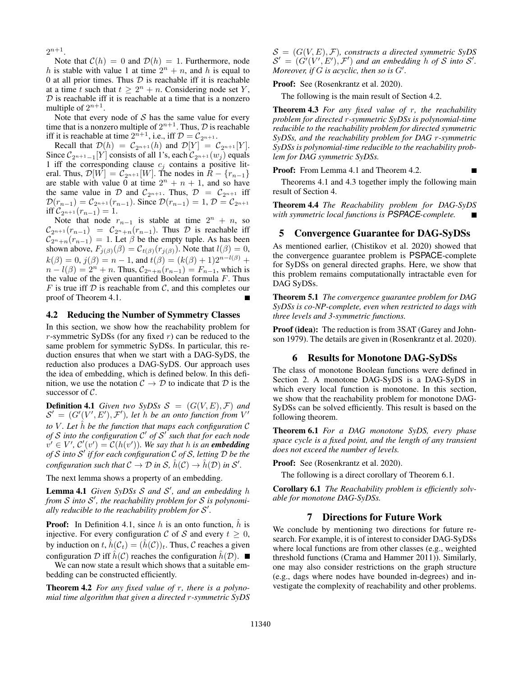$2^{n+1}$ .

Note that  $C(h) = 0$  and  $D(h) = 1$ . Furthermore, node h is stable with value 1 at time  $2^n + n$ , and h is equal to 0 at all prior times. Thus  $D$  is reachable iff it is reachable at a time t such that  $t \geq 2^n + n$ . Considering node set Y,  $D$  is reachable iff it is reachable at a time that is a nonzero multiple of  $2^{n+1}$ .

Note that every node of  $S$  has the same value for every time that is a nonzero multiple of  $2^{n+1}$ . Thus,  $\mathcal D$  is reachable iff it is reachable at time  $2^{n+1}$ , i.e., iff  $\mathcal{D} = \mathcal{C}_{2^{n+1}}$ .

Recall that  $\mathcal{D}(h) = C_{2^{n+1}}(h)$  and  $\mathcal{D}[Y] = C_{2^{n+1}}[Y]$ . Since  $C_{2n+1-1}[Y]$  consists of all 1's, each  $C_{2n+1}(w_j)$  equals 1 iff the corresponding clause  $c_i$  contains a positive literal. Thus,  $\mathcal{D}[W] = \mathcal{C}_{2^{n+1}}[W]$ . The nodes in  $R - \{r_{n-1}\}\$ are stable with value 0 at time  $2^n + n + 1$ , and so have the same value in D and  $C_{2n+1}$ . Thus,  $D = C_{2n+1}$  iff  $\mathcal{D}(r_{n-1}) = C_{2^{n+1}}(r_{n-1})$ . Since  $\mathcal{D}(r_{n-1}) = 1, \mathcal{D} = C_{2^{n+1}}$ iff  $C_{2^{n+1}}(r_{n-1}) = 1$ .

Note that node  $r_{n-1}$  is stable at time  $2^n + n$ , so  $\mathcal{C}_{2^{n+1}}(r_{n-1}) = \mathcal{C}_{2^{n}+n}(r_{n-1})$ . Thus  $\mathcal{D}$  is reachable iff  $C_{2^n+n}(r_{n-1}) = 1$ . Let  $\beta$  be the empty tuple. As has been shown above,  $F_{j(\beta)}(\beta) = C_{t(\beta)}(r_{j(\beta)})$ . Note that  $l(\beta) = 0$ ,  $k(\beta) = 0$ ,  $j(\beta) = n - 1$ , and  $t(\beta) = (k(\beta) + 1)2^{n-l(\beta)}$  +  $n - l(\beta) = 2^n + n$ . Thus,  $C_{2^n+n}(r_{n-1}) = F_{n-1}$ , which is the value of the given quantified Boolean formula  $F$ . Thus F is true iff D is reachable from C, and this completes our proof of Theorem 4.1.

#### 4.2 Reducing the Number of Symmetry Classes

In this section, we show how the reachability problem for r-symmetric SyDSs (for any fixed  $r$ ) can be reduced to the same problem for symmetric SyDSs. In particular, this reduction ensures that when we start with a DAG-SyDS, the reduction also produces a DAG-SyDS. Our approach uses the idea of embedding, which is defined below. In this definition, we use the notation  $\mathcal{C} \to \mathcal{D}$  to indicate that  $\mathcal{D}$  is the successor of C.

**Definition 4.1** *Given two SyDSs*  $S = (G(V, E), F)$  *and*  $S' = (G'(V', E'), \mathcal{F}')$ , let h be an onto function from V' *to* V *. Let* hˆ *be the function that maps each configuration* C *of* S *into the configuration* C 0 *of* S 0 *such that for each node*  $v' \in V'$ ,  $\mathcal{C}'(v') = \mathcal{C}(h(v'))$ . We say that h is an **embedding** *of* S *into* S 0 *if for each configuration* C *of* S*, letting* D *be the configuration such that*  $C \to D$  *in*  $S$ ,  $\hat{h}(C) \to \hat{h}(D)$  *in*  $S'$ .

The next lemma shows a property of an embedding.

Lemma 4.1 *Given SyDSs S and S'*, and an embedding h *from* S *into* S 0 *, the reachability problem for* S *is polynomi*ally reducible to the reachability problem for  $\mathcal{S}'$ .

**Proof:** In Definition 4.1, since  $h$  is an onto function,  $h$  is injective. For every configuration C of S and every  $t \geq 0$ , by induction on t,  $\hat{h}(\mathcal{C}_t) = (\hat{h}(\mathcal{C}))_t$ . Thus,  $\mathcal C$  reaches a given configuration D iff  $\hat{h}(\mathcal{C})$  reaches the configuration  $\hat{h}(\mathcal{D})$ .

We can now state a result which shows that a suitable embedding can be constructed efficiently.

Theorem 4.2 *For any fixed value of* r*, there is a polynomial time algorithm that given a directed* r*-symmetric SyDS*  $S = (G(V, E), \mathcal{F})$ , constructs a directed symmetric SyDS  $\mathcal{S}' = (\hat{G}'(V', E'), \mathcal{F}')$  and an embedding h of S into S'. *Moreover, if*  $G$  *is acyclic, then so is*  $G'$ *.* 

Proof: See (Rosenkrantz et al. 2020).

The following is the main result of Section 4.2.

Theorem 4.3 *For any fixed value of* r*, the reachability problem for directed* r*-symmetric SyDSs is polynomial-time reducible to the reachability problem for directed symmetric SyDSs, and the reachability problem for DAG* r*-symmetric SyDSs is polynomial-time reducible to the reachability problem for DAG symmetric SyDSs.*

Proof: From Lemma 4.1 and Theorem 4.2.

Theorems 4.1 and 4.3 together imply the following main result of Section 4.

 $\blacksquare$ 

Theorem 4.4 *The Reachability problem for DAG-SyDS with symmetric local functions is PSPACE-complete.*

### 5 Convergence Guarantee for DAG-SyDSs

As mentioned earlier, (Chistikov et al. 2020) showed that the convergence guarantee problem is PSPACE-complete for SyDSs on general directed graphs. Here, we show that this problem remains computationally intractable even for DAG SyDSs.

Theorem 5.1 *The convergence guarantee problem for DAG SyDSs is co-NP-complete, even when restricted to dags with three levels and 3-symmetric functions.*

Proof (idea): The reduction is from 3SAT (Garey and Johnson 1979). The details are given in (Rosenkrantz et al. 2020).

### 6 Results for Monotone DAG-SyDSs

The class of monotone Boolean functions were defined in Section 2. A monotone DAG-SyDS is a DAG-SyDS in which every local function is monotone. In this section, we show that the reachability problem for monotone DAG-SyDSs can be solved efficiently. This result is based on the following theorem.

Theorem 6.1 *For a DAG monotone SyDS, every phase space cycle is a fixed point, and the length of any transient does not exceed the number of levels.*

Proof: See (Rosenkrantz et al. 2020).

The following is a direct corollary of Theorem 6.1.

Corollary 6.1 *The Reachability problem is efficiently solvable for monotone DAG-SyDSs.*

### 7 Directions for Future Work

We conclude by mentioning two directions for future research. For example, it is of interest to consider DAG-SyDSs where local functions are from other classes (e.g., weighted threshold functions (Crama and Hammer 2011)). Similarly, one may also consider restrictions on the graph structure (e.g., dags where nodes have bounded in-degrees) and investigate the complexity of reachability and other problems.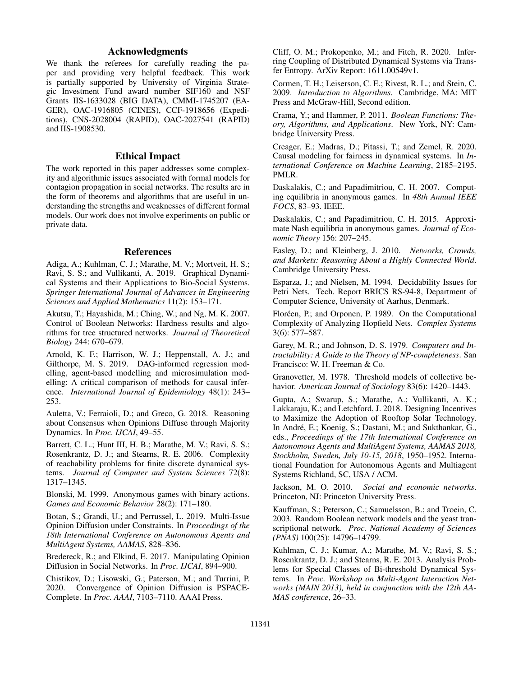# Acknowledgments

We thank the referees for carefully reading the paper and providing very helpful feedback. This work is partially supported by University of Virginia Strategic Investment Fund award number SIF160 and NSF Grants IIS-1633028 (BIG DATA), CMMI-1745207 (EA-GER), OAC-1916805 (CINES), CCF-1918656 (Expeditions), CNS-2028004 (RAPID), OAC-2027541 (RAPID) and IIS-1908530.

## Ethical Impact

The work reported in this paper addresses some complexity and algorithmic issues associated with formal models for contagion propagation in social networks. The results are in the form of theorems and algorithms that are useful in understanding the strengths and weaknesses of different formal models. Our work does not involve experiments on public or private data.

#### References

Adiga, A.; Kuhlman, C. J.; Marathe, M. V.; Mortveit, H. S.; Ravi, S. S.; and Vullikanti, A. 2019. Graphical Dynamical Systems and their Applications to Bio-Social Systems. *Springer International Journal of Advances in Engineering Sciences and Applied Mathematics* 11(2): 153–171.

Akutsu, T.; Hayashida, M.; Ching, W.; and Ng, M. K. 2007. Control of Boolean Networks: Hardness results and algorithms for tree structured networks. *Journal of Theoretical Biology* 244: 670–679.

Arnold, K. F.; Harrison, W. J.; Heppenstall, A. J.; and Gilthorpe, M. S. 2019. DAG-informed regression modelling, agent-based modelling and microsimulation modelling: A critical comparison of methods for causal inference. *International Journal of Epidemiology* 48(1): 243– 253.

Auletta, V.; Ferraioli, D.; and Greco, G. 2018. Reasoning about Consensus when Opinions Diffuse through Majority Dynamics. In *Proc. IJCAI*, 49–55.

Barrett, C. L.; Hunt III, H. B.; Marathe, M. V.; Ravi, S. S.; Rosenkrantz, D. J.; and Stearns, R. E. 2006. Complexity of reachability problems for finite discrete dynamical systems. *Journal of Computer and System Sciences* 72(8): 1317–1345.

Blonski, M. 1999. Anonymous games with binary actions. *Games and Economic Behavior* 28(2): 171–180.

Botan, S.; Grandi, U.; and Perrussel, L. 2019. Multi-Issue Opinion Diffusion under Constraints. In *Proceedings of the 18th International Conference on Autonomous Agents and MultiAgent Systems, AAMAS*, 828–836.

Bredereck, R.; and Elkind, E. 2017. Manipulating Opinion Diffusion in Social Networks. In *Proc. IJCAI*, 894–900.

Chistikov, D.; Lisowski, G.; Paterson, M.; and Turrini, P. 2020. Convergence of Opinion Diffusion is PSPACE-Complete. In *Proc. AAAI*, 7103–7110. AAAI Press.

Cliff, O. M.; Prokopenko, M.; and Fitch, R. 2020. Inferring Coupling of Distributed Dynamical Systems via Transfer Entropy. ArXiv Report: 1611.00549v1.

Cormen, T. H.; Leiserson, C. E.; Rivest, R. L.; and Stein, C. 2009. *Introduction to Algorithms*. Cambridge, MA: MIT Press and McGraw-Hill, Second edition.

Crama, Y.; and Hammer, P. 2011. *Boolean Functions: Theory, Algorithms, and Applications*. New York, NY: Cambridge University Press.

Creager, E.; Madras, D.; Pitassi, T.; and Zemel, R. 2020. Causal modeling for fairness in dynamical systems. In *International Conference on Machine Learning*, 2185–2195. PMLR.

Daskalakis, C.; and Papadimitriou, C. H. 2007. Computing equilibria in anonymous games. In *48th Annual IEEE FOCS*, 83–93. IEEE.

Daskalakis, C.; and Papadimitriou, C. H. 2015. Approximate Nash equilibria in anonymous games. *Journal of Economic Theory* 156: 207–245.

Easley, D.; and Kleinberg, J. 2010. *Networks, Crowds, and Markets: Reasoning About a Highly Connected World*. Cambridge University Press.

Esparza, J.; and Nielsen, M. 1994. Decidability Issues for Petri Nets. Tech. Report BRICS RS-94-8, Department of Computer Science, University of Aarhus, Denmark.

Floréen, P.; and Orponen, P. 1989. On the Computational Complexity of Analyzing Hopfield Nets. *Complex Systems* 3(6): 577–587.

Garey, M. R.; and Johnson, D. S. 1979. *Computers and Intractability: A Guide to the Theory of NP-completeness*. San Francisco: W. H. Freeman & Co.

Granovetter, M. 1978. Threshold models of collective behavior. *American Journal of Sociology* 83(6): 1420–1443.

Gupta, A.; Swarup, S.; Marathe, A.; Vullikanti, A. K.; Lakkaraju, K.; and Letchford, J. 2018. Designing Incentives to Maximize the Adoption of Rooftop Solar Technology. In André, E.; Koenig, S.; Dastani, M.; and Sukthankar, G., eds., *Proceedings of the 17th International Conference on Autonomous Agents and MultiAgent Systems, AAMAS 2018, Stockholm, Sweden, July 10-15, 2018*, 1950–1952. International Foundation for Autonomous Agents and Multiagent Systems Richland, SC, USA / ACM.

Jackson, M. O. 2010. *Social and economic networks*. Princeton, NJ: Princeton University Press.

Kauffman, S.; Peterson, C.; Samuelsson, B.; and Troein, C. 2003. Random Boolean network models and the yeast transcriptional network. *Proc. National Academy of Sciences (PNAS)* 100(25): 14796–14799.

Kuhlman, C. J.; Kumar, A.; Marathe, M. V.; Ravi, S. S.; Rosenkrantz, D. J.; and Stearns, R. E. 2013. Analysis Problems for Special Classes of Bi-threshold Dynamical Systems. In *Proc. Workshop on Multi-Agent Interaction Networks (MAIN 2013), held in conjunction with the 12th AA-MAS conference*, 26–33.